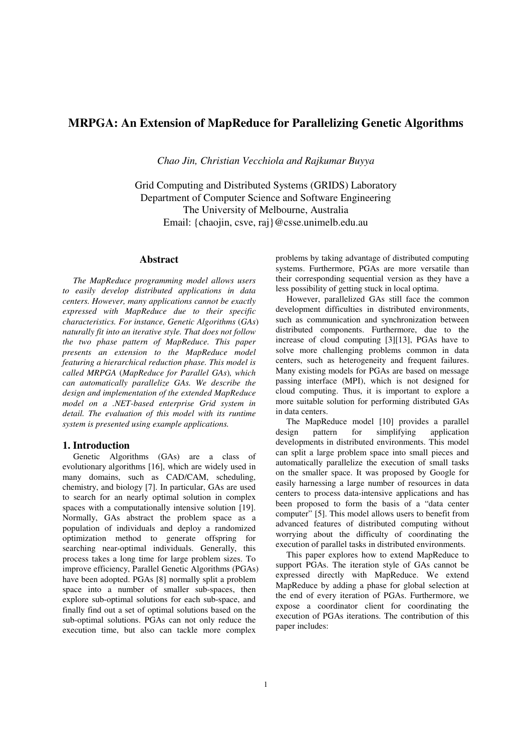# **MRPGA: An Extension of MapReduce for Parallelizing Genetic Algorithms**

*Chao Jin, Christian Vecchiola and Rajkumar Buyya* 

Grid Computing and Distributed Systems (GRIDS) Laboratory Department of Computer Science and Software Engineering The University of Melbourne, Australia Email: {chaojin, csve, raj}@csse.unimelb.edu.au

## **Abstract**

*The MapReduce programming model allows users to easily develop distributed applications in data centers. However, many applications cannot be exactly expressed with MapReduce due to their specific characteristics. For instance, Genetic Algorithms* (*GAs*) *naturally fit into an iterative style. That does not follow the two phase pattern of MapReduce. This paper presents an extension to the MapReduce model featuring a hierarchical reduction phase. This model is called MRPGA* (*MapReduce for Parallel GAs*)*, which can automatically parallelize GAs. We describe the design and implementation of the extended MapReduce model on a .NET-based enterprise Grid system in detail. The evaluation of this model with its runtime system is presented using example applications.* 

## **1. Introduction**

Genetic Algorithms (GAs) are a class of evolutionary algorithms [16], which are widely used in many domains, such as CAD/CAM, scheduling, chemistry, and biology [7]. In particular, GAs are used to search for an nearly optimal solution in complex spaces with a computationally intensive solution [19]. Normally, GAs abstract the problem space as a population of individuals and deploy a randomized optimization method to generate offspring for searching near-optimal individuals. Generally, this process takes a long time for large problem sizes. To improve efficiency, Parallel Genetic Algorithms (PGAs) have been adopted. PGAs [8] normally split a problem space into a number of smaller sub-spaces, then explore sub-optimal solutions for each sub-space, and finally find out a set of optimal solutions based on the sub-optimal solutions. PGAs can not only reduce the execution time, but also can tackle more complex

problems by taking advantage of distributed computing systems. Furthermore, PGAs are more versatile than their corresponding sequential version as they have a less possibility of getting stuck in local optima.

However, parallelized GAs still face the common development difficulties in distributed environments, such as communication and synchronization between distributed components. Furthermore, due to the increase of cloud computing [3][13], PGAs have to solve more challenging problems common in data centers, such as heterogeneity and frequent failures. Many existing models for PGAs are based on message passing interface (MPI), which is not designed for cloud computing. Thus, it is important to explore a more suitable solution for performing distributed GAs in data centers.

The MapReduce model [10] provides a parallel design pattern for simplifying application developments in distributed environments. This model can split a large problem space into small pieces and automatically parallelize the execution of small tasks on the smaller space. It was proposed by Google for easily harnessing a large number of resources in data centers to process data-intensive applications and has been proposed to form the basis of a "data center computer" [5]. This model allows users to benefit from advanced features of distributed computing without worrying about the difficulty of coordinating the execution of parallel tasks in distributed environments.

This paper explores how to extend MapReduce to support PGAs. The iteration style of GAs cannot be expressed directly with MapReduce. We extend MapReduce by adding a phase for global selection at the end of every iteration of PGAs. Furthermore, we expose a coordinator client for coordinating the execution of PGAs iterations. The contribution of this paper includes: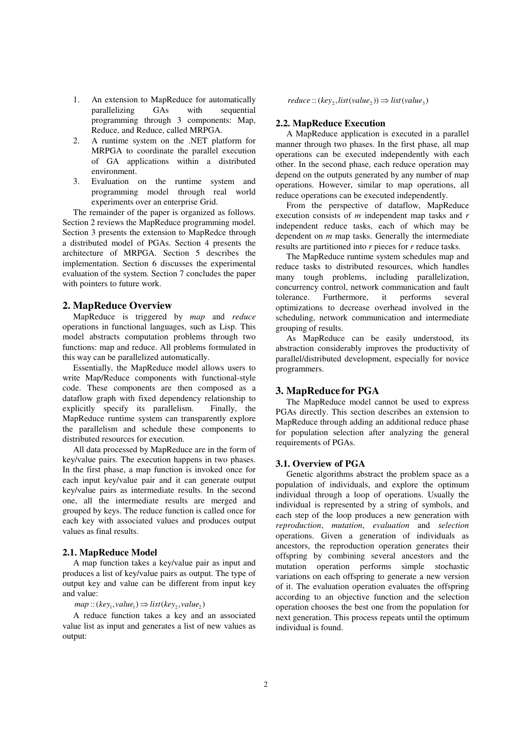- 1. An extension to MapReduce for automatically parallelizing GAs with sequential programming through 3 components: Map, Reduce, and Reduce, called MRPGA.
- 2. A runtime system on the .NET platform for MRPGA to coordinate the parallel execution of GA applications within a distributed environment.
- 3. Evaluation on the runtime system and programming model through real world experiments over an enterprise Grid.

The remainder of the paper is organized as follows. Section 2 reviews the MapReduce programming model. Section 3 presents the extension to MapRedce through a distributed model of PGAs. Section 4 presents the architecture of MRPGA. Section 5 describes the implementation. Section 6 discusses the experimental evaluation of the system. Section 7 concludes the paper with pointers to future work.

#### **2. MapReduce Overview**

MapReduce is triggered by *map* and *reduce* operations in functional languages, such as Lisp. This model abstracts computation problems through two functions: map and reduce. All problems formulated in this way can be parallelized automatically.

Essentially, the MapReduce model allows users to write Map/Reduce components with functional-style code. These components are then composed as a dataflow graph with fixed dependency relationship to explicitly specify its parallelism. Finally, the MapReduce runtime system can transparently explore the parallelism and schedule these components to distributed resources for execution.

All data processed by MapReduce are in the form of key/value pairs. The execution happens in two phases. In the first phase, a map function is invoked once for each input key/value pair and it can generate output key/value pairs as intermediate results. In the second one, all the intermediate results are merged and grouped by keys. The reduce function is called once for each key with associated values and produces output values as final results.

## **2.1. MapReduce Model**

A map function takes a key/value pair as input and produces a list of key/value pairs as output. The type of output key and value can be different from input key and value:

 $map :: (key_1, value_1) \Rightarrow list(key_2, value_2)$ 

A reduce function takes a key and an associated value list as input and generates a list of new values as output:

 $reduce :: (key_2, list(value_2)) \Rightarrow list(value_3)$ 

## **2.2. MapReduce Execution**

A MapReduce application is executed in a parallel manner through two phases. In the first phase, all map operations can be executed independently with each other. In the second phase, each reduce operation may depend on the outputs generated by any number of map operations. However, similar to map operations, all reduce operations can be executed independently.

From the perspective of dataflow, MapReduce execution consists of *m* independent map tasks and *r* independent reduce tasks, each of which may be dependent on *m* map tasks. Generally the intermediate results are partitioned into *r* pieces for *r* reduce tasks.

The MapReduce runtime system schedules map and reduce tasks to distributed resources, which handles many tough problems, including parallelization, concurrency control, network communication and fault<br>tolerance. Furthermore, it performs several tolerance. Furthermore, it performs several optimizations to decrease overhead involved in the scheduling, network communication and intermediate grouping of results.

As MapReduce can be easily understood, its abstraction considerably improves the productivity of parallel/distributed development, especially for novice programmers.

#### **3. MapReduce for PGA**

The MapReduce model cannot be used to express PGAs directly. This section describes an extension to MapReduce through adding an additional reduce phase for population selection after analyzing the general requirements of PGAs.

## **3.1. Overview of PGA**

Genetic algorithms abstract the problem space as a population of individuals, and explore the optimum individual through a loop of operations. Usually the individual is represented by a string of symbols, and each step of the loop produces a new generation with *reproduction*, *mutation*, *evaluation* and *selection* operations. Given a generation of individuals as ancestors, the reproduction operation generates their offspring by combining several ancestors and the mutation operation performs simple stochastic variations on each offspring to generate a new version of it. The evaluation operation evaluates the offspring according to an objective function and the selection operation chooses the best one from the population for next generation. This process repeats until the optimum individual is found.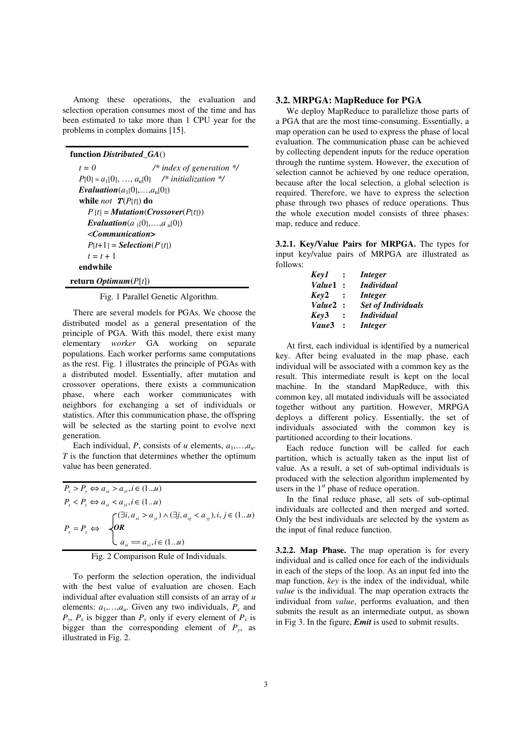Among these operations, the evaluation and selection operation consumes most of the time and has been estimated to take more than 1 CPU year for the problems in complex domains [15].

#### **function** *Distributed\_GA*()

*t = 0 /\* index of generation \*/*   $P[0] = a_1[0], ..., a_u[0]$  /\* *initialization* \*/ *Evaluation*( $a_1[0],...,a_n[0]$ ) **while** *not*  $T(P[t])$  **do**  $P'[t] = \text{Mutation}(Crossover(P[t]))$ *Evaluation*( $a^{'}_1[0],...,a^{'}_n[0]$ ) <*Communication***>**   $P[t+1] = \text{Selection}(P'[t])$  $t = t + 1$ **endwhile** 

#### **return** *Optimum***(***P*[*t*])

Fig. 1 Parallel Genetic Algorithm.

There are several models for PGAs. We choose the distributed model as a general presentation of the principle of PGA. With this model, there exist many elementary *worker* GA working on separate populations. Each worker performs same computations as the rest. Fig. 1 illustrates the principle of PGAs with a distributed model. Essentially, after mutation and crossover operations, there exists a communication phase, where each worker communicates with neighbors for exchanging a set of individuals or statistics. After this communication phase, the offspring will be selected as the starting point to evolve next generation.

Each individual, *P*, consists of *u* elements,  $a_1, \ldots, a_n$ . *T* is the function that determines whether the optimum value has been generated.

 $P_x > P_y \Leftrightarrow a_{xi} > a_{yi}, i \in (1...u)$  $P_x < P_y \Leftrightarrow a_{xi} < a_{yi}, i \in (1...u)$  $(\exists i, a_{xi} > a_{yi}) \land (\exists j, a_{xi} < a_{yi}), i, j \in (1...u)$  $P_x = P_y \Leftrightarrow \sqrt{OR}$  $a_{x_i} = a_{y_i}, i \in (1...u)$ Fig. 2 Comparison Rule of Individuals.

To perform the selection operation, the individual with the best value of evaluation are chosen. Each individual after evaluation still consists of an array of *u* elements:  $a_1, \ldots, a_u$ . Given any two individuals,  $P_x$  and  $P_y$ ,  $P_x$  is bigger than  $P_y$  only if every element of  $P_x$  is bigger than the corresponding element of  $P_y$ , as illustrated in Fig. 2.

#### **3.2. MRPGA: MapReduce for PGA**

We deploy MapReduce to parallelize those parts of a PGA that are the most time-consuming. Essentially, a map operation can be used to express the phase of local evaluation. The communication phase can be achieved by collecting dependent inputs for the reduce operation through the runtime system. However, the execution of selection cannot be achieved by one reduce operation, because after the local selection, a global selection is required. Therefore, we have to express the selection phase through two phases of reduce operations. Thus the whole execution model consists of three phases: map, reduce and reduce.

**3.2.1. Key/Value Pairs for MRPGA.** The types for input key/value pairs of MRPGA are illustrated as follows:

| <b>Key1</b> | $\ddot{\phantom{a}}$ | <i>Integer</i>            |
|-------------|----------------------|---------------------------|
| Value 1     | $\bullet$            | <i>Individual</i>         |
| Key2        |                      | <i>Integer</i>            |
| Value2      |                      | <b>Set of Individuals</b> |
| Kev3        | $\ddot{\cdot}$       | <i>Individual</i>         |
| Vaue3       |                      | <i>Integer</i>            |

At first, each individual is identified by a numerical key. After being evaluated in the map phase, each individual will be associated with a common key as the result. This intermediate result is kept on the local machine. In the standard MapReduce, with this common key, all mutated individuals will be associated together without any partition. However, MRPGA deploys a different policy. Essentially, the set of individuals associated with the common key is partitioned according to their locations.

Each reduce function will be called for each partition, which is actually taken as the input list of value. As a result, a set of sub-optimal individuals is produced with the selection algorithm implemented by users in the  $1<sup>st</sup>$  phase of reduce operation.

In the final reduce phase, all sets of sub-optimal individuals are collected and then merged and sorted. Only the best individuals are selected by the system as the input of final reduce function.

**3.2.2. Map Phase.** The map operation is for every individual and is called once for each of the individuals in each of the steps of the loop. As an input fed into the map function, *key* is the index of the individual, while *value* is the individual. The map operation extracts the individual from *value*, performs evaluation, and then submits the result as an intermediate output, as shown in Fig 3. In the figure, *Emit* is used to submit results.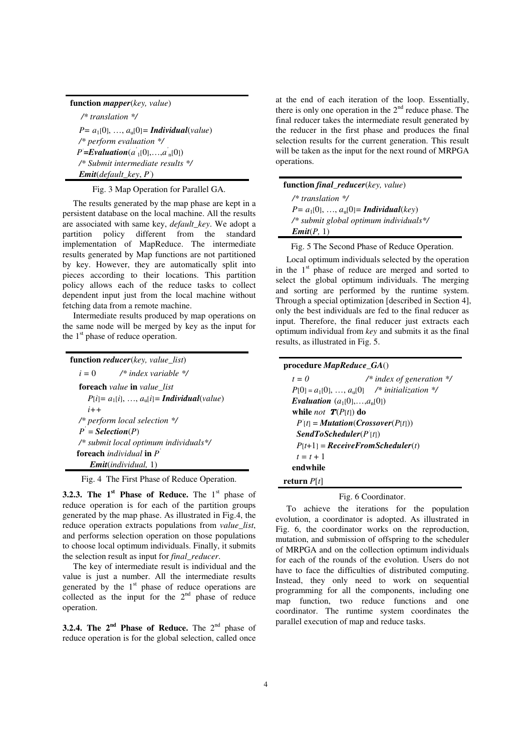**function** *mapper*(*key, value*)

*/\* translation \*/*  $P = a_1[0], ..., a_u[0] =$ *Individual*(*value*) */\* perform evaluation \*/ P* = *Evaluation*( $a'_{1}[0],...,a'_{n}[0])$ */\* Submit intermediate results \*/ Emit*(*default\_key*, *P '* )

Fig. 3 Map Operation for Parallel GA. **f** 

The results generated by the map phase are kept in a persistent database on the local machine. All the results are associated with same key, *default\_key*. We adopt a partition policy different from the standard implementation of MapReduce. The intermediate results generated by Map functions are not partitioned by key. However, they are automatically split into pieces according to their locations. This partition policy allows each of the reduce tasks to collect dependent input just from the local machine without fetching data from a remote machine.

Intermediate results produced by map operations on the same node will be merged by key as the input for the  $1<sup>st</sup>$  phase of reduce operation.

| <b>function <i>reducer</i></b> (key, value_list) |                                                            |  |  |
|--------------------------------------------------|------------------------------------------------------------|--|--|
| $i=0$                                            | $\frac{1}{2}$ index variable $\frac{1}{2}$                 |  |  |
|                                                  | <b>foreach</b> value in value list                         |  |  |
|                                                  | $P[i] = a_1[i], \ldots, a_u[i] = \text{Individual}(value)$ |  |  |
| $i++$                                            |                                                            |  |  |
|                                                  | /* perform local selection */                              |  |  |
|                                                  | $P^{\prime} = Selection(P)$                                |  |  |
| /* submit local optimum individuals*/            |                                                            |  |  |
|                                                  | foreach <i>individual</i> in $P$                           |  |  |
|                                                  | $\pmb{Emit}$ (individual, 1)                               |  |  |

Fig. 4 The First Phase of Reduce Operation.

**3.2.3. The 1<sup>st</sup> Phase of Reduce.** The 1<sup>st</sup> phase of reduce operation is for each of the partition groups generated by the map phase. As illustrated in Fig.4, the reduce operation extracts populations from *value* list, and performs selection operation on those populations to choose local optimum individuals. Finally, it submits the selection result as input for *final\_reducer*.

The key of intermediate result is individual and the value is just a number. All the intermediate results generated by the  $1<sup>st</sup>$  phase of reduce operations are collected as the input for the  $2<sup>nd</sup>$  phase of reduce operation.

**3.2.4. The 2nd Phase of Reduce.** The 2nd phase of reduce operation is for the global selection, called once at the end of each iteration of the loop. Essentially, there is only one operation in the  $2<sup>nd</sup>$  reduce phase. The final reducer takes the intermediate result generated by the reducer in the first phase and produces the final selection results for the current generation. This result will be taken as the input for the next round of MRPGA operations.

| <b>function final_reducer</b> (key, value)       |  |  |  |  |
|--------------------------------------------------|--|--|--|--|
| $/* translation */$                              |  |  |  |  |
| $P = a_1[0], , a_n[0] =$ <b>Individual</b> (key) |  |  |  |  |
| /* submit global optimum individuals*/           |  |  |  |  |
| $\textit{Emit}(P, 1)$                            |  |  |  |  |

Fig. 5 The Second Phase of Reduce Operation.

Local optimum individuals selected by the operation in the  $1<sup>st</sup>$  phase of reduce are merged and sorted to select the global optimum individuals. The merging and sorting are performed by the runtime system. Through a special optimization [described in Section 4], only the best individuals are fed to the final reducer as input. Therefore, the final reducer just extracts each optimum individual from *key* and submits it as the final results, as illustrated in Fig. 5.

| procedure $MapReduce(GA()$           |                                                      |
|--------------------------------------|------------------------------------------------------|
| $t=0$                                | /* index of generation $\frac{1}{2}$                 |
|                                      | $P[0] = a_1[0], \ldots, a_n[0]$ /* initialization */ |
| <b>Evaluation</b> $(a_1[0],,a_n[0])$ |                                                      |
| while <i>not</i> $T(P[t])$ do        |                                                      |
| $P'[t] = Mutation(Crossover(P[t]))$  |                                                      |
| SendToScheduler(P'[t])               |                                                      |
|                                      | $P[t+1] = \textit{Receiveduler}(t)$                  |
| $t = t + 1$                          |                                                      |
| endwhile                             |                                                      |
| return $P[t]$                        |                                                      |

## Fig. 6 Coordinator.

To achieve the iterations for the population evolution, a coordinator is adopted. As illustrated in Fig. 6, the coordinator works on the reproduction, mutation, and submission of offspring to the scheduler of MRPGA and on the collection optimum individuals for each of the rounds of the evolution. Users do not have to face the difficulties of distributed computing. Instead, they only need to work on sequential programming for all the components, including one map function, two reduce functions and one coordinator. The runtime system coordinates the parallel execution of map and reduce tasks.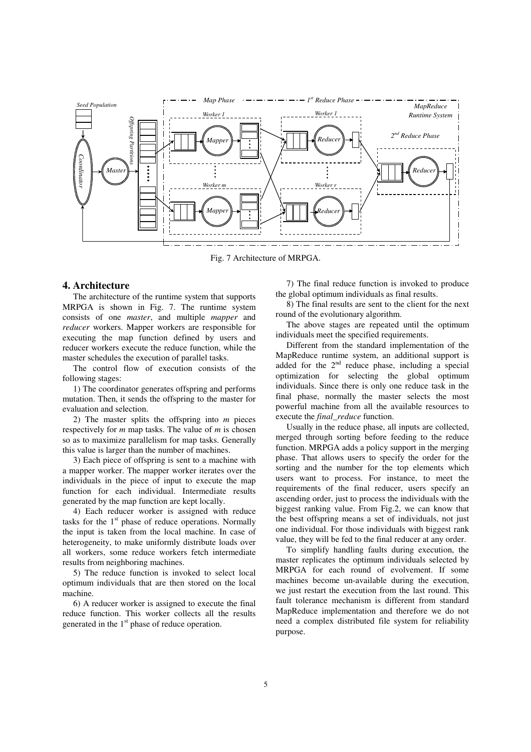

Fig. 7 Architecture of MRPGA.

#### **4. Architecture**

The architecture of the runtime system that supports MRPGA is shown in Fig. 7. The runtime system consists of one *master*, and multiple *mapper* and *reducer* workers. Mapper workers are responsible for executing the map function defined by users and reducer workers execute the reduce function, while the master schedules the execution of parallel tasks.

The control flow of execution consists of the following stages:

1) The coordinator generates offspring and performs mutation. Then, it sends the offspring to the master for evaluation and selection.

2) The master splits the offspring into *m* pieces respectively for *m* map tasks. The value of *m* is chosen so as to maximize parallelism for map tasks. Generally this value is larger than the number of machines.

3) Each piece of offspring is sent to a machine with a mapper worker. The mapper worker iterates over the individuals in the piece of input to execute the map function for each individual. Intermediate results generated by the map function are kept locally.

4) Each reducer worker is assigned with reduce tasks for the  $1<sup>st</sup>$  phase of reduce operations. Normally the input is taken from the local machine. In case of heterogeneity, to make uniformly distribute loads over all workers, some reduce workers fetch intermediate results from neighboring machines.

5) The reduce function is invoked to select local optimum individuals that are then stored on the local machine.

6) A reducer worker is assigned to execute the final reduce function. This worker collects all the results generated in the  $1<sup>st</sup>$  phase of reduce operation.

7) The final reduce function is invoked to produce the global optimum individuals as final results.

8) The final results are sent to the client for the next round of the evolutionary algorithm.

The above stages are repeated until the optimum individuals meet the specified requirements.

Different from the standard implementation of the MapReduce runtime system, an additional support is added for the  $2<sup>nd</sup>$  reduce phase, including a special optimization for selecting the global optimum individuals. Since there is only one reduce task in the final phase, normally the master selects the most powerful machine from all the available resources to execute the *final\_reduce* function.

Usually in the reduce phase, all inputs are collected, merged through sorting before feeding to the reduce function. MRPGA adds a policy support in the merging phase. That allows users to specify the order for the sorting and the number for the top elements which users want to process. For instance, to meet the requirements of the final reducer, users specify an ascending order, just to process the individuals with the biggest ranking value. From Fig.2, we can know that the best offspring means a set of individuals, not just one individual. For those individuals with biggest rank value, they will be fed to the final reducer at any order.

To simplify handling faults during execution, the master replicates the optimum individuals selected by MRPGA for each round of evolvement. If some machines become un-available during the execution, we just restart the execution from the last round. This fault tolerance mechanism is different from standard MapReduce implementation and therefore we do not need a complex distributed file system for reliability purpose.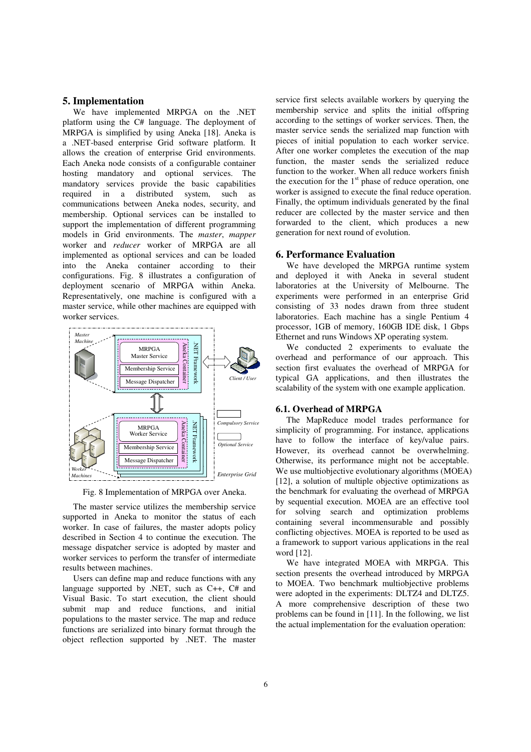## **5. Implementation**

We have implemented MRPGA on the .NET platform using the C# language. The deployment of MRPGA is simplified by using Aneka [18]. Aneka is a .NET-based enterprise Grid software platform. It allows the creation of enterprise Grid environments. Each Aneka node consists of a configurable container hosting mandatory and optional services. The mandatory services provide the basic capabilities required in a distributed system, such as communications between Aneka nodes, security, and membership. Optional services can be installed to support the implementation of different programming models in Grid environments. The *master*, *mapper* worker and *reducer* worker of MRPGA are all implemented as optional services and can be loaded into the Aneka container according to their configurations. Fig. 8 illustrates a configuration of deployment scenario of MRPGA within Aneka. Representatively, one machine is configured with a master service, while other machines are equipped with worker services.



Fig. 8 Implementation of MRPGA over Aneka.

The master service utilizes the membership service supported in Aneka to monitor the status of each worker. In case of failures, the master adopts policy described in Section 4 to continue the execution. The message dispatcher service is adopted by master and worker services to perform the transfer of intermediate results between machines.

Users can define map and reduce functions with any language supported by .NET, such as C++, C# and Visual Basic. To start execution, the client should submit map and reduce functions, and initial populations to the master service. The map and reduce functions are serialized into binary format through the object reflection supported by .NET. The master service first selects available workers by querying the membership service and splits the initial offspring according to the settings of worker services. Then, the master service sends the serialized map function with pieces of initial population to each worker service. After one worker completes the execution of the map function, the master sends the serialized reduce function to the worker. When all reduce workers finish the execution for the  $1<sup>st</sup>$  phase of reduce operation, one worker is assigned to execute the final reduce operation. Finally, the optimum individuals generated by the final reducer are collected by the master service and then forwarded to the client, which produces a new generation for next round of evolution.

#### **6. Performance Evaluation**

We have developed the MRPGA runtime system and deployed it with Aneka in several student laboratories at the University of Melbourne. The experiments were performed in an enterprise Grid consisting of 33 nodes drawn from three student laboratories. Each machine has a single Pentium 4 processor, 1GB of memory, 160GB IDE disk, 1 Gbps Ethernet and runs Windows XP operating system.

We conducted 2 experiments to evaluate the overhead and performance of our approach. This section first evaluates the overhead of MRPGA for typical GA applications, and then illustrates the scalability of the system with one example application.

## **6.1. Overhead of MRPGA**

The MapReduce model trades performance for simplicity of programming. For instance, applications have to follow the interface of key/value pairs. However, its overhead cannot be overwhelming. Otherwise, its performance might not be acceptable. We use multiobjective evolutionary algorithms (MOEA) [12], a solution of multiple objective optimizations as the benchmark for evaluating the overhead of MRPGA by sequential execution. MOEA are an effective tool for solving search and optimization problems containing several incommensurable and possibly conflicting objectives. MOEA is reported to be used as a framework to support various applications in the real word [12].

We have integrated MOEA with MRPGA. This section presents the overhead introduced by MRPGA to MOEA. Two benchmark multiobjective problems were adopted in the experiments: DLTZ4 and DLTZ5. A more comprehensive description of these two problems can be found in [11]. In the following, we list the actual implementation for the evaluation operation: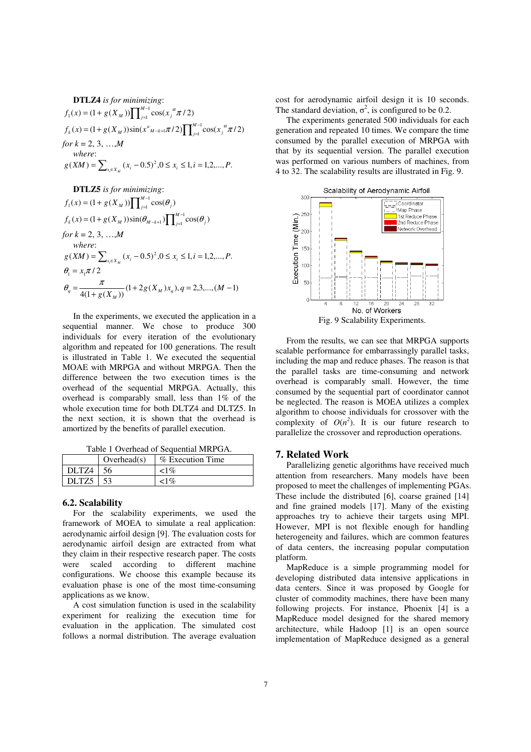**DTLZ4** *is for minimizing*:  $\prod\nolimits_{i=1}^{M-}$  $=(1+g(X_M))\prod_{j=1}^{M-1}$  $f_1(x) = (1 + g(X_M)) \prod_{j=1}^{M-1} \cos(x_j^{\alpha} \pi / 2)$  $f_1(x) = (1 + g(X_M)) \prod_{j=1}^{M-1} \cos(x_j^{\alpha} \pi)$  $\prod\nolimits_{i=1}^{M-}$  $=(1+g(X_M))\sin(x^a{}_{M-k+1}\pi/2)\prod_{j=1}^{M-1}$  $f(x) = (1 + g(X_M))\sin(x^a{}_{M-k+1}\pi/2)\prod_{j=1}^{M-1}\cos(x_j{}^a\pi/2)$  $f_k(x) = (1 + g(X_M))\sin(x^a M - k + 1} \pi/2) \prod_{j=1}^{M-1} \cos(x_j)^a \pi$ *for*  $k = 2, 3, ..., M$ *where*:  $g(XM) = \sum_{x_i \in X_M} (x_i - 0.5)^2, 0 \le x_i \le 1, i = 1, 2, ..., P.$ 

**DTLZ5** *is for minimizing*:  $\prod\nolimits_{i=1}^{M-}$  $=(1+g(X_M))\prod_{j=1}^{M-1}$  $f_1(x) = (1 + g(X_M)) \prod_{j=1}^{M-1} \cos(\theta_j)$  $f_1(x) = (1 + g(X_M))$   $\prod_{j=1}^{M-1} \cos(\theta_j)$  $\prod\nolimits_{i=1}^{M-}$  $=(1+g(X_M))\sin(\theta_{M-k+1})\prod_{j=1}^{M-1}$  $f(x) = (1 + g(X_M))\sin(\theta_{M-k+1})\prod_{j=1}^{M-1}\cos(\theta_j)$  $f_k(x) = (1 + g(X_M))\sin(\theta_{M-k+1})\prod_{j=1}^{M-1}\cos(\theta_j)$ *for*  $k = 2, 3, ..., M$ *where*:  $g(XM) = \sum_{x_i \in X_M} (x_i - 0.5)^2, 0 \le x_i \le 1, i = 1, 2, ..., P.$  $\theta_1 = x \pi/2$  $\frac{k}{4(1+g(X_M))}(1+2g(X_M)x_q), q=2,3,...,(M-1)$  $\frac{a}{q} = \frac{a}{4(1+g(X_M))}(1+2g(X_M)x_q), q = 2,3,...,(M \theta = \frac{\pi}{\sqrt{2\pi}}$ 

In the experiments, we executed the application in a sequential manner. We chose to produce 300 individuals for every iteration of the evolutionary algorithm and repeated for 100 generations. The result is illustrated in Table 1. We executed the sequential MOAE with MRPGA and without MRPGA. Then the difference between the two execution times is the overhead of the sequential MRPGA. Actually, this overhead is comparably small, less than 1% of the whole execution time for both DLTZ4 and DLTZ5. In the next section, it is shown that the overhead is amortized by the benefits of parallel execution.

Table 1 Overhead of Sequential MRPGA.

|        | Overhead(s) | % Execution Time |
|--------|-------------|------------------|
| DLTZ4  | l 56        | ${<}1\%$         |
| DI TZ5 |             | $< 1\%$          |

#### **6.2. Scalability**

For the scalability experiments, we used the framework of MOEA to simulate a real application: aerodynamic airfoil design [9]. The evaluation costs for aerodynamic airfoil design are extracted from what they claim in their respective research paper. The costs were scaled according to different machine configurations. We choose this example because its evaluation phase is one of the most time-consuming applications as we know.

A cost simulation function is used in the scalability experiment for realizing the execution time for evaluation in the application. The simulated cost follows a normal distribution. The average evaluation cost for aerodynamic airfoil design it is 10 seconds. The standard deviation,  $\sigma^2$ , is configured to be 0.2.

The experiments generated 500 individuals for each generation and repeated 10 times. We compare the time consumed by the parallel execution of MRPGA with that by its sequential version. The parallel execution was performed on various numbers of machines, from 4 to 32. The scalability results are illustrated in Fig. 9.



From the results, we can see that MRPGA supports scalable performance for embarrassingly parallel tasks, including the map and reduce phases. The reason is that the parallel tasks are time-consuming and network overhead is comparably small. However, the time consumed by the sequential part of coordinator cannot be neglected. The reason is MOEA utilizes a complex algorithm to choose individuals for crossover with the complexity of  $O(n^2)$ . It is our future research to parallelize the crossover and reproduction operations.

#### **7. Related Work**

Parallelizing genetic algorithms have received much attention from researchers. Many models have been proposed to meet the challenges of implementing PGAs. These include the distributed [6], coarse grained [14] and fine grained models [17]. Many of the existing approaches try to achieve their targets using MPI. However, MPI is not flexible enough for handling heterogeneity and failures, which are common features of data centers, the increasing popular computation platform.

MapReduce is a simple programming model for developing distributed data intensive applications in data centers. Since it was proposed by Google for cluster of commodity machines, there have been many following projects. For instance, Phoenix [4] is a MapReduce model designed for the shared memory architecture, while Hadoop [1] is an open source implementation of MapReduce designed as a general